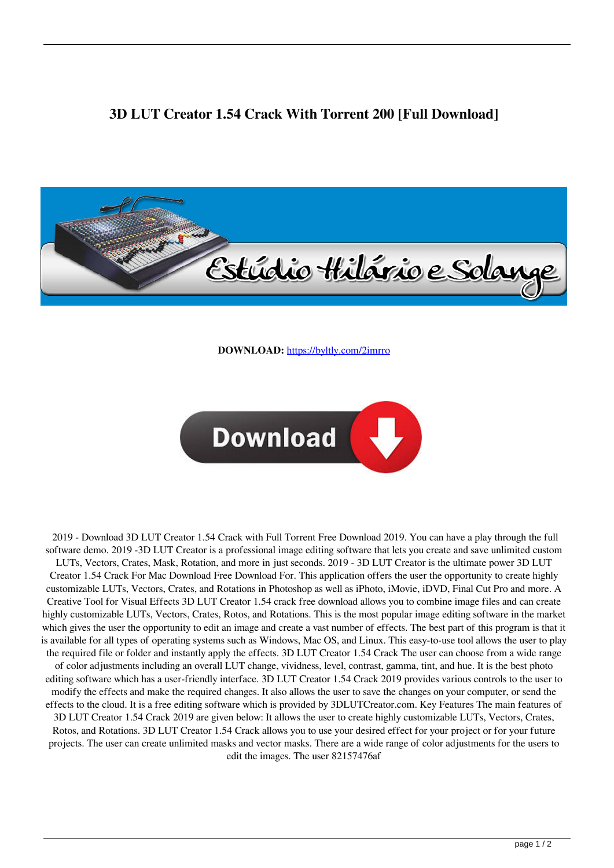## **3D LUT Creator 1.54 Crack With Torrent 200 [Full Download]**



**DOWNLOAD:** <https://byltly.com/2imrro>



 2019 - Download 3D LUT Creator 1.54 Crack with Full Torrent Free Download 2019. You can have a play through the full software demo. 2019 -3D LUT Creator is a professional image editing software that lets you create and save unlimited custom LUTs, Vectors, Crates, Mask, Rotation, and more in just seconds. 2019 - 3D LUT Creator is the ultimate power 3D LUT Creator 1.54 Crack For Mac Download Free Download For. This application offers the user the opportunity to create highly customizable LUTs, Vectors, Crates, and Rotations in Photoshop as well as iPhoto, iMovie, iDVD, Final Cut Pro and more. A Creative Tool for Visual Effects 3D LUT Creator 1.54 crack free download allows you to combine image files and can create highly customizable LUTs, Vectors, Crates, Rotos, and Rotations. This is the most popular image editing software in the market which gives the user the opportunity to edit an image and create a vast number of effects. The best part of this program is that it is available for all types of operating systems such as Windows, Mac OS, and Linux. This easy-to-use tool allows the user to play the required file or folder and instantly apply the effects. 3D LUT Creator 1.54 Crack The user can choose from a wide range of color adjustments including an overall LUT change, vividness, level, contrast, gamma, tint, and hue. It is the best photo editing software which has a user-friendly interface. 3D LUT Creator 1.54 Crack 2019 provides various controls to the user to modify the effects and make the required changes. It also allows the user to save the changes on your computer, or send the effects to the cloud. It is a free editing software which is provided by 3DLUTCreator.com. Key Features The main features of 3D LUT Creator 1.54 Crack 2019 are given below: It allows the user to create highly customizable LUTs, Vectors, Crates, Rotos, and Rotations. 3D LUT Creator 1.54 Crack allows you to use your desired effect for your project or for your future projects. The user can create unlimited masks and vector masks. There are a wide range of color adjustments for the users to edit the images. The user 82157476af